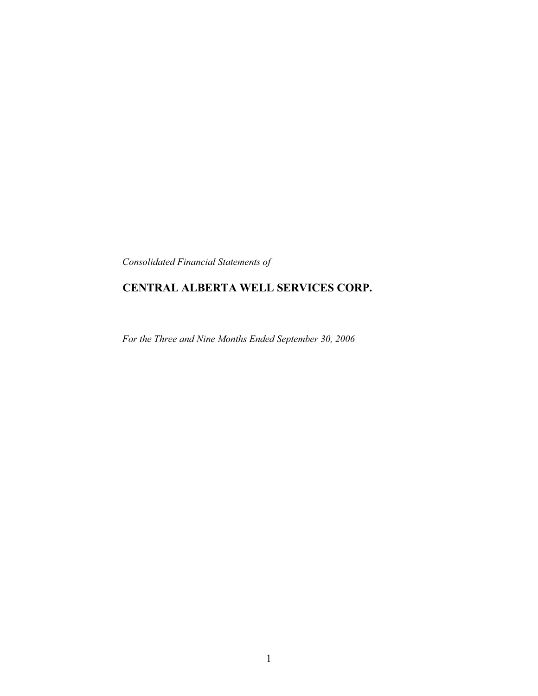*Consolidated Financial Statements of*

# **CENTRAL ALBERTA WELL SERVICES CORP.**

*For the Three and Nine Months Ended September 30, 2006*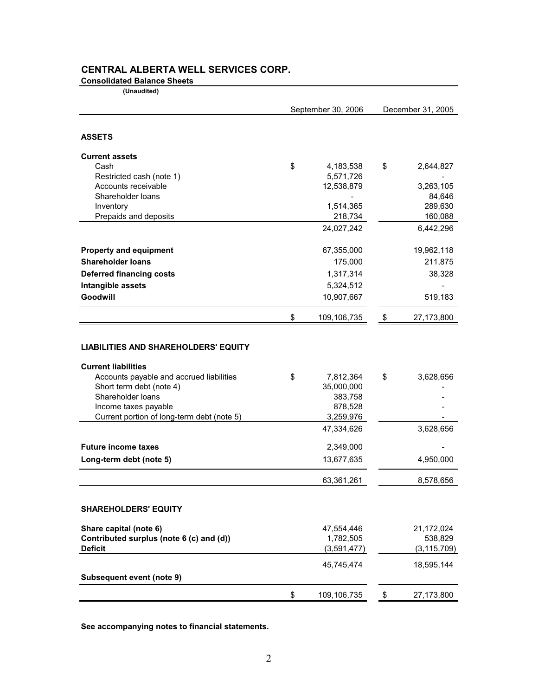# **CENTRAL ALBERTA WELL SERVICES CORP.**

## **Consolidated Balance Sheets**

 **(Unaudited)**

|                                                                           | September 30, 2006 |             | December 31, 2005 |               |
|---------------------------------------------------------------------------|--------------------|-------------|-------------------|---------------|
| <b>ASSETS</b>                                                             |                    |             |                   |               |
| <b>Current assets</b>                                                     |                    |             |                   |               |
| Cash                                                                      | \$                 | 4,183,538   | \$                | 2,644,827     |
| Restricted cash (note 1)                                                  |                    | 5,571,726   |                   |               |
| Accounts receivable                                                       |                    | 12,538,879  |                   | 3,263,105     |
| Shareholder loans                                                         |                    |             |                   | 84,646        |
| Inventory                                                                 |                    | 1,514,365   |                   | 289,630       |
| Prepaids and deposits                                                     |                    | 218,734     |                   | 160,088       |
|                                                                           |                    | 24,027,242  |                   | 6,442,296     |
| <b>Property and equipment</b>                                             |                    | 67,355,000  |                   | 19,962,118    |
| <b>Shareholder loans</b>                                                  |                    | 175,000     |                   | 211,875       |
| <b>Deferred financing costs</b>                                           |                    | 1,317,314   |                   | 38,328        |
| Intangible assets                                                         |                    | 5,324,512   |                   |               |
| Goodwill                                                                  |                    | 10,907,667  |                   | 519,183       |
|                                                                           | \$                 | 109,106,735 | \$                | 27,173,800    |
| <b>LIABILITIES AND SHAREHOLDERS' EQUITY</b><br><b>Current liabilities</b> |                    |             |                   |               |
| Accounts payable and accrued liabilities                                  | \$                 | 7,812,364   | \$                | 3,628,656     |
| Short term debt (note 4)                                                  |                    | 35,000,000  |                   |               |
| Shareholder loans                                                         |                    | 383,758     |                   |               |
| Income taxes payable                                                      |                    | 878,528     |                   |               |
| Current portion of long-term debt (note 5)                                |                    | 3,259,976   |                   |               |
|                                                                           |                    | 47,334,626  |                   | 3,628,656     |
| <b>Future income taxes</b>                                                |                    | 2,349,000   |                   |               |
| Long-term debt (note 5)                                                   |                    | 13,677,635  |                   | 4,950,000     |
|                                                                           |                    | 63,361,261  |                   | 8,578,656     |
| <b>SHAREHOLDERS' EQUITY</b>                                               |                    |             |                   |               |
| Share capital (note 6)                                                    |                    | 47,554,446  |                   | 21,172,024    |
| Contributed surplus (note 6 (c) and (d))                                  |                    | 1,782,505   |                   | 538,829       |
| <b>Deficit</b>                                                            |                    | (3,591,477) |                   | (3, 115, 709) |
|                                                                           |                    | 45,745,474  |                   | 18,595,144    |
| <b>Subsequent event (note 9)</b>                                          |                    |             |                   |               |
|                                                                           | \$                 | 109,106,735 | \$                | 27,173,800    |

**See accompanying notes to financial statements.**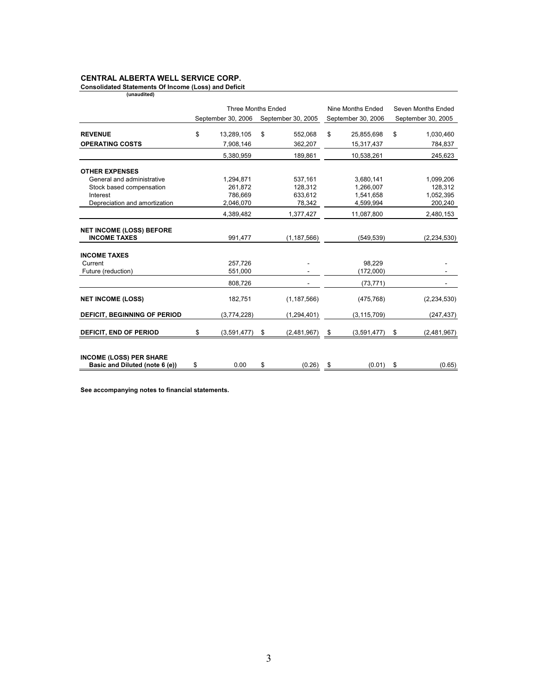## **CENTRAL ALBERTA WELL SERVICE CORP.**

**Consolidated Statements Of Income (Loss) and Deficit (unaudited)** 

|                                                        | <b>Three Months Ended</b> |    | Nine Months Ended  |    | Seven Months Ended |    |                    |
|--------------------------------------------------------|---------------------------|----|--------------------|----|--------------------|----|--------------------|
|                                                        | September 30, 2006        |    | September 30, 2005 |    | September 30, 2006 |    | September 30, 2005 |
|                                                        |                           |    |                    |    |                    |    |                    |
| <b>REVENUE</b>                                         | \$<br>13,289,105          | \$ | 552,068            | \$ | 25,855,698         | \$ | 1,030,460          |
| <b>OPERATING COSTS</b>                                 | 7,908,146                 |    | 362,207            |    | 15,317,437         |    | 784,837            |
|                                                        | 5,380,959                 |    | 189,861            |    | 10,538,261         |    | 245,623            |
| <b>OTHER EXPENSES</b>                                  |                           |    |                    |    |                    |    |                    |
| General and administrative                             | 1,294,871                 |    | 537,161            |    | 3,680,141          |    | 1,099,206          |
| Stock based compensation                               | 261,872                   |    | 128,312            |    | 1,266,007          |    | 128,312            |
| Interest                                               | 786,669                   |    | 633.612            |    | 1,541,658          |    | 1,052,395          |
| Depreciation and amortization                          | 2,046,070                 |    | 78,342             |    | 4,599,994          |    | 200,240            |
|                                                        | 4,389,482                 |    | 1,377,427          |    | 11,087,800         |    | 2,480,153          |
|                                                        |                           |    |                    |    |                    |    |                    |
| <b>NET INCOME (LOSS) BEFORE</b><br><b>INCOME TAXES</b> | 991,477                   |    | (1, 187, 566)      |    | (549, 539)         |    | (2, 234, 530)      |
|                                                        |                           |    |                    |    |                    |    |                    |
| <b>INCOME TAXES</b>                                    |                           |    |                    |    |                    |    |                    |
| Current                                                | 257,726                   |    |                    |    | 98,229             |    |                    |
| Future (reduction)                                     | 551,000                   |    |                    |    | (172,000)          |    |                    |
|                                                        | 808,726                   |    |                    |    | (73, 771)          |    |                    |
| <b>NET INCOME (LOSS)</b>                               | 182,751                   |    | (1, 187, 566)      |    | (475, 768)         |    | (2, 234, 530)      |
| DEFICIT, BEGINNING OF PERIOD                           | (3,774,228)               |    | (1, 294, 401)      |    | (3, 115, 709)      |    | (247, 437)         |
|                                                        |                           |    |                    |    |                    |    |                    |
| <b>DEFICIT, END OF PERIOD</b>                          | \$<br>(3,591,477)         | \$ | (2,481,967)        | \$ | (3,591,477)        | \$ | (2,481,967)        |
|                                                        |                           |    |                    |    |                    |    |                    |
| <b>INCOME (LOSS) PER SHARE</b>                         |                           |    |                    |    |                    |    |                    |
| Basic and Diluted (note 6 (e))                         | \$<br>0.00                | \$ | (0.26)             | \$ | (0.01)             | \$ | (0.65)             |

**See accompanying notes to financial statements.**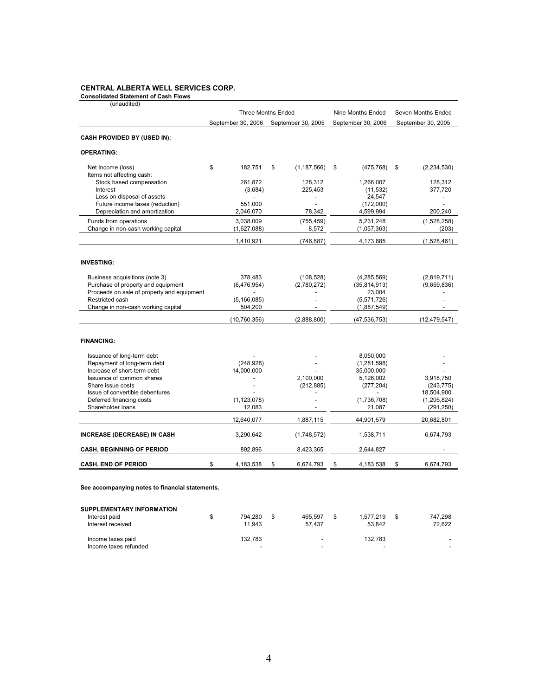#### **CENTRAL ALBERTA WELL SERVICES CORP.**

**Consolidated Statement of Cash Flows**

| (unaudited)                                           |                         | <b>Three Months Ended</b> | Nine Months Ended     | Seven Months Ended        |
|-------------------------------------------------------|-------------------------|---------------------------|-----------------------|---------------------------|
|                                                       | September 30, 2006      | September 30, 2005        | September 30, 2006    | September 30, 2005        |
| <b>CASH PROVIDED BY (USED IN):</b>                    |                         |                           |                       |                           |
| <b>OPERATING:</b>                                     |                         |                           |                       |                           |
| Net Income (loss)                                     | \$<br>182.751           | \$<br>(1, 187, 566)       | \$<br>(475, 768)      | \$<br>(2, 234, 530)       |
| Items not affecting cash:<br>Stock based compensation | 261.872                 | 128,312                   | 1,266,007             | 128,312                   |
| Interest                                              | (3,684)                 | 225,453                   | (11, 532)             | 377,720                   |
| Loss on disposal of assets                            |                         | $\overline{a}$            | 24,547                |                           |
| Future income taxes (reduction)                       | 551,000                 | $\overline{a}$            | (172,000)             |                           |
| Depreciation and amortization                         | 2,046,070               | 78,342                    | 4,599,994             | 200,240                   |
| Funds from operations                                 | 3.038.009               | (755, 459)                | 5.231.248             | (1,528,258)               |
| Change in non-cash working capital                    | (1,627,088)             | 8,572                     | (1,057,363)           | (203)                     |
|                                                       | 1,410,921               | (746, 887)                | 4,173,885             | (1,528,461)               |
|                                                       |                         |                           |                       |                           |
| <b>INVESTING:</b>                                     |                         |                           |                       |                           |
| Business acquisitions (note 3)                        | 378,483                 | (108, 528)                | (4, 285, 569)         | (2,819,711)               |
| Purchase of property and equipment                    | (6,476,954)             | (2,780,272)               | (35,814,913)          | (9,659,836)               |
| Proceeds on sale of property and equipment            |                         |                           | 23,004                |                           |
| Restricted cash                                       | (5, 166, 085)           |                           | (5,571,726)           |                           |
| Change in non-cash working capital                    | 504,200                 |                           | (1,887,549)           |                           |
|                                                       | (10, 760, 356)          | (2,888,800)               | (47, 536, 753)        | (12, 479, 547)            |
| <b>FINANCING:</b>                                     |                         |                           |                       |                           |
| Issuance of long-term debt                            |                         |                           | 8,050,000             |                           |
| Repayment of long-term debt                           | (248, 928)              |                           | (1, 281, 598)         |                           |
| Increase of short-term debt                           | 14,000,000              |                           | 35,000,000            |                           |
| Issuance of common shares                             |                         | 2.100.000                 | 5,126,002             | 3.918.750                 |
| Share issue costs                                     |                         | (212, 885)                | (277, 204)            | (243, 775)                |
| Issue of convertible debentures                       |                         |                           |                       | 18,504,900                |
| Deferred financing costs<br>Shareholder loans         | (1, 123, 078)<br>12,083 |                           | (1,736,708)<br>21,087 | (1,205,824)<br>(291, 250) |
|                                                       | 12,640,077              | 1,887,115                 | 44,901,579            | 20,682,801                |
|                                                       |                         |                           |                       |                           |
| <b>INCREASE (DECREASE) IN CASH</b>                    | 3,290,642               | (1,748,572)               | 1,538,711             | 6,674,793                 |
| <b>CASH, BEGINNING OF PERIOD</b>                      | 892,896                 | 8,423,365                 | 2,644,827             |                           |
| <b>CASH, END OF PERIOD</b>                            | \$<br>4,183,538         | \$<br>6,674,793           | \$<br>4,183,538       | \$<br>6.674.793           |
| See accompanying notes to financial statements.       |                         |                           |                       |                           |

#### **SUPPLEMENTARY INFORMATION**

| Interest paid<br>Interest received         | 794.280<br>11.943 | 465.597<br>57.437                  | 1.577.219<br>53.842 | 747.298<br>72.622 |
|--------------------------------------------|-------------------|------------------------------------|---------------------|-------------------|
| Income taxes paid<br>Income taxes refunded | 132.783<br>-      | $\sim$<br>$\overline{\phantom{a}}$ | 132.783<br>-        | -<br>-            |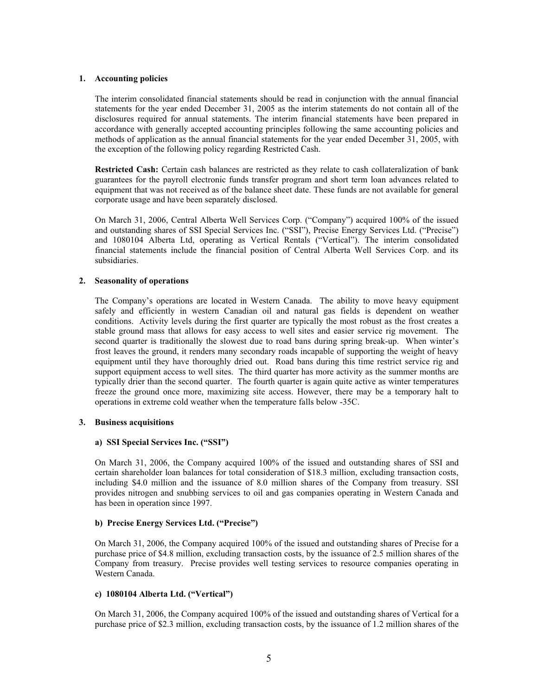#### **1. Accounting policies**

The interim consolidated financial statements should be read in conjunction with the annual financial statements for the year ended December 31, 2005 as the interim statements do not contain all of the disclosures required for annual statements. The interim financial statements have been prepared in accordance with generally accepted accounting principles following the same accounting policies and methods of application as the annual financial statements for the year ended December 31, 2005, with the exception of the following policy regarding Restricted Cash.

**Restricted Cash:** Certain cash balances are restricted as they relate to cash collateralization of bank guarantees for the payroll electronic funds transfer program and short term loan advances related to equipment that was not received as of the balance sheet date. These funds are not available for general corporate usage and have been separately disclosed.

On March 31, 2006, Central Alberta Well Services Corp. ("Company") acquired 100% of the issued and outstanding shares of SSI Special Services Inc. ("SSI"), Precise Energy Services Ltd. ("Precise") and 1080104 Alberta Ltd, operating as Vertical Rentals ("Vertical"). The interim consolidated financial statements include the financial position of Central Alberta Well Services Corp. and its subsidiaries.

## **2. Seasonality of operations**

The Company's operations are located in Western Canada. The ability to move heavy equipment safely and efficiently in western Canadian oil and natural gas fields is dependent on weather conditions. Activity levels during the first quarter are typically the most robust as the frost creates a stable ground mass that allows for easy access to well sites and easier service rig movement. The second quarter is traditionally the slowest due to road bans during spring break-up. When winter's frost leaves the ground, it renders many secondary roads incapable of supporting the weight of heavy equipment until they have thoroughly dried out. Road bans during this time restrict service rig and support equipment access to well sites. The third quarter has more activity as the summer months are typically drier than the second quarter. The fourth quarter is again quite active as winter temperatures freeze the ground once more, maximizing site access. However, there may be a temporary halt to operations in extreme cold weather when the temperature falls below -35C.

#### **3. Business acquisitions**

## **a) SSI Special Services Inc. ("SSI")**

On March 31, 2006, the Company acquired 100% of the issued and outstanding shares of SSI and certain shareholder loan balances for total consideration of \$18.3 million, excluding transaction costs, including \$4.0 million and the issuance of 8.0 million shares of the Company from treasury. SSI provides nitrogen and snubbing services to oil and gas companies operating in Western Canada and has been in operation since 1997.

#### **b) Precise Energy Services Ltd. ("Precise")**

On March 31, 2006, the Company acquired 100% of the issued and outstanding shares of Precise for a purchase price of \$4.8 million, excluding transaction costs, by the issuance of 2.5 million shares of the Company from treasury. Precise provides well testing services to resource companies operating in Western Canada.

#### **c) 1080104 Alberta Ltd. ("Vertical")**

On March 31, 2006, the Company acquired 100% of the issued and outstanding shares of Vertical for a purchase price of \$2.3 million, excluding transaction costs, by the issuance of 1.2 million shares of the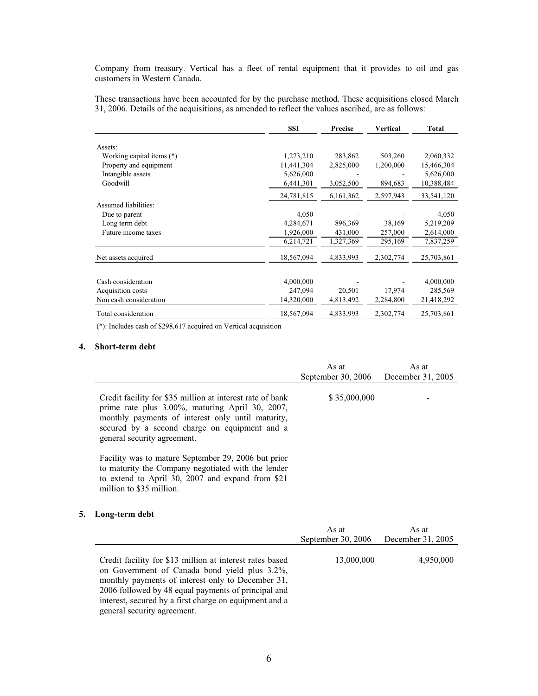Company from treasury. Vertical has a fleet of rental equipment that it provides to oil and gas customers in Western Canada.

These transactions have been accounted for by the purchase method. These acquisitions closed March 31, 2006. Details of the acquisitions, as amended to reflect the values ascribed, are as follows:

|                           | <b>SSI</b> | Precise   | <b>Vertical</b> | <b>Total</b> |
|---------------------------|------------|-----------|-----------------|--------------|
|                           |            |           |                 |              |
| Assets:                   |            |           |                 |              |
| Working capital items (*) | 1,273,210  | 283,862   | 503,260         | 2,060,332    |
| Property and equipment    | 11,441,304 | 2,825,000 | 1,200,000       | 15,466,304   |
| Intangible assets         | 5,626,000  |           |                 | 5,626,000    |
| Goodwill                  | 6,441,301  | 3,052,500 | 894,683         | 10,388,484   |
|                           | 24,781,815 | 6,161,362 | 2,597,943       | 33,541,120   |
| Assumed liabilities:      |            |           |                 |              |
| Due to parent             | 4,050      |           |                 | 4,050        |
| Long term debt            | 4,284,671  | 896,369   | 38,169          | 5,219,209    |
| Future income taxes       | 1,926,000  | 431,000   | 257,000         | 2,614,000    |
|                           | 6,214,721  | 1,327,369 | 295,169         | 7,837,259    |
| Net assets acquired       | 18,567,094 | 4,833,993 | 2,302,774       | 25,703,861   |
|                           |            |           |                 |              |
| Cash consideration        | 4,000,000  |           |                 | 4,000,000    |
| Acquisition costs         | 247,094    | 20,501    | 17,974          | 285,569      |
| Non cash consideration    | 14,320,000 | 4,813,492 | 2,284,800       | 21,418,292   |
| Total consideration       | 18,567,094 | 4,833,993 | 2,302,774       | 25,703,861   |

(\*): Includes cash of \$298,617 acquired on Vertical acquisition

### **4. Short-term debt**

|                                                                                                                                                                                                                                                   | As at<br>September 30, 2006 | As at<br>December 31, 2005 |
|---------------------------------------------------------------------------------------------------------------------------------------------------------------------------------------------------------------------------------------------------|-----------------------------|----------------------------|
| Credit facility for \$35 million at interest rate of bank<br>prime rate plus 3.00%, maturing April 30, 2007,<br>monthly payments of interest only until maturity,<br>secured by a second charge on equipment and a<br>general security agreement. | \$35,000,000                |                            |
| Facility was to mature September 29, 2006 but prior<br>to maturity the Company negotiated with the lender<br>to extend to April 30, 2007 and expand from \$21                                                                                     |                             |                            |

**5. Long-term debt**

million to \$35 million.

|                                                                                                                                                                                                                                                                                                                | As at<br>September 30, 2006 | As at<br>December 31, 2005 |
|----------------------------------------------------------------------------------------------------------------------------------------------------------------------------------------------------------------------------------------------------------------------------------------------------------------|-----------------------------|----------------------------|
| Credit facility for \$13 million at interest rates based<br>on Government of Canada bond yield plus 3.2%,<br>monthly payments of interest only to December 31,<br>2006 followed by 48 equal payments of principal and<br>interest, secured by a first charge on equipment and a<br>general security agreement. | 13,000,000                  | 4,950,000                  |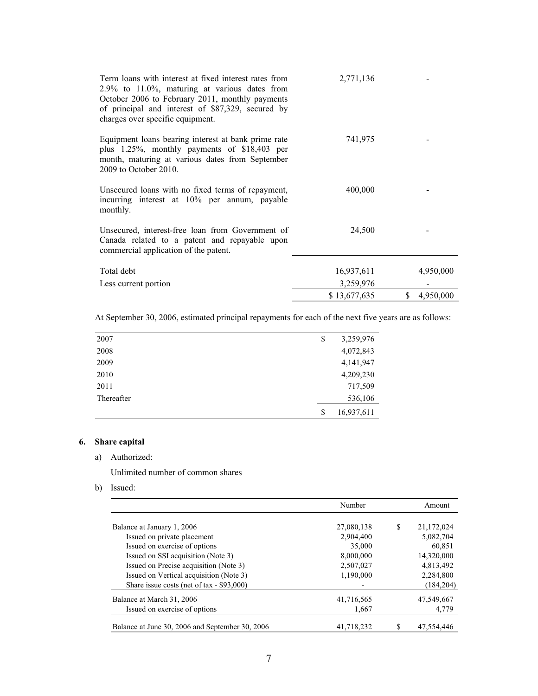| Term loans with interest at fixed interest rates from<br>$2.9\%$ to 11.0%, maturing at various dates from<br>October 2006 to February 2011, monthly payments<br>of principal and interest of \$87,329, secured by<br>charges over specific equipment. | 2,771,136    |                 |
|-------------------------------------------------------------------------------------------------------------------------------------------------------------------------------------------------------------------------------------------------------|--------------|-----------------|
| Equipment loans bearing interest at bank prime rate<br>plus 1.25%, monthly payments of \$18,403 per<br>month, maturing at various dates from September<br>2009 to October 2010.                                                                       | 741,975      |                 |
| Unsecured loans with no fixed terms of repayment,<br>incurring interest at 10% per annum, payable<br>monthly.                                                                                                                                         | 400,000      |                 |
| Unsecured, interest-free loan from Government of<br>Canada related to a patent and repayable upon<br>commercial application of the patent.                                                                                                            | 24,500       |                 |
| Total debt                                                                                                                                                                                                                                            | 16,937,611   | 4,950,000       |
| Less current portion                                                                                                                                                                                                                                  | 3,259,976    |                 |
|                                                                                                                                                                                                                                                       | \$13,677,635 | \$<br>4,950,000 |

At September 30, 2006, estimated principal repayments for each of the next five years are as follows:

| 2007       | \$<br>3,259,976  |
|------------|------------------|
| 2008       | 4,072,843        |
| 2009       | 4, 141, 947      |
| 2010       | 4,209,230        |
| 2011       | 717,509          |
| Thereafter | 536,106          |
|            | \$<br>16,937,611 |

# **6. Share capital**

a) Authorized:

Unlimited number of common shares

b) Issued:

|                                                 | Number     |   | Amount     |
|-------------------------------------------------|------------|---|------------|
|                                                 |            |   |            |
| Balance at January 1, 2006                      | 27,080,138 | S | 21,172,024 |
| Issued on private placement                     | 2.904.400  |   | 5,082,704  |
| Issued on exercise of options                   | 35,000     |   | 60,851     |
| Issued on SSI acquisition (Note 3)              | 8,000,000  |   | 14,320,000 |
| Issued on Precise acquisition (Note 3)          | 2,507,027  |   | 4,813,492  |
| Issued on Vertical acquisition (Note 3)         | 1,190,000  |   | 2,284,800  |
| Share issue costs (net of tax - \$93,000)       |            |   | (184, 204) |
| Balance at March 31, 2006                       | 41,716,565 |   | 47,549,667 |
| Issued on exercise of options                   | 1,667      |   | 4,779      |
|                                                 |            |   |            |
| Balance at June 30, 2006 and September 30, 2006 | 41.718.232 |   | 47.554.446 |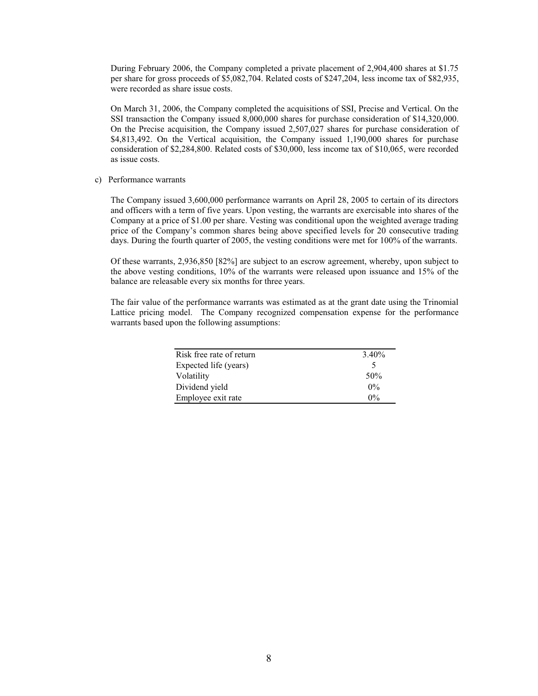During February 2006, the Company completed a private placement of 2,904,400 shares at \$1.75 per share for gross proceeds of \$5,082,704. Related costs of \$247,204, less income tax of \$82,935, were recorded as share issue costs.

On March 31, 2006, the Company completed the acquisitions of SSI, Precise and Vertical. On the SSI transaction the Company issued 8,000,000 shares for purchase consideration of \$14,320,000. On the Precise acquisition, the Company issued 2,507,027 shares for purchase consideration of \$4,813,492. On the Vertical acquisition, the Company issued 1,190,000 shares for purchase consideration of \$2,284,800. Related costs of \$30,000, less income tax of \$10,065, were recorded as issue costs.

#### c) Performance warrants

The Company issued 3,600,000 performance warrants on April 28, 2005 to certain of its directors and officers with a term of five years. Upon vesting, the warrants are exercisable into shares of the Company at a price of \$1.00 per share. Vesting was conditional upon the weighted average trading price of the Company's common shares being above specified levels for 20 consecutive trading days. During the fourth quarter of 2005, the vesting conditions were met for 100% of the warrants.

Of these warrants, 2,936,850 [82%] are subject to an escrow agreement, whereby, upon subject to the above vesting conditions, 10% of the warrants were released upon issuance and 15% of the balance are releasable every six months for three years.

The fair value of the performance warrants was estimated as at the grant date using the Trinomial Lattice pricing model. The Company recognized compensation expense for the performance warrants based upon the following assumptions:

| Risk free rate of return | 3.40% |
|--------------------------|-------|
| Expected life (years)    | 5     |
| Volatility               | 50%   |
| Dividend yield           | $0\%$ |
| Employee exit rate       | $0\%$ |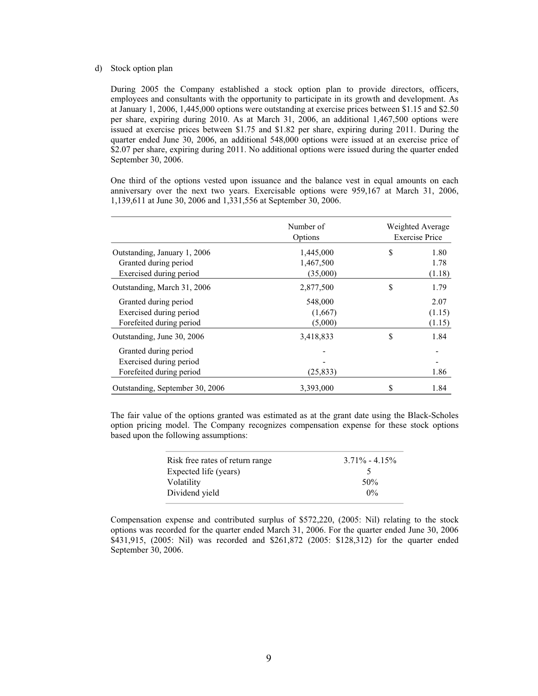#### d) Stock option plan

During 2005 the Company established a stock option plan to provide directors, officers, employees and consultants with the opportunity to participate in its growth and development. As at January 1, 2006, 1,445,000 options were outstanding at exercise prices between \$1.15 and \$2.50 per share, expiring during 2010. As at March 31, 2006, an additional 1,467,500 options were issued at exercise prices between \$1.75 and \$1.82 per share, expiring during 2011. During the quarter ended June 30, 2006, an additional 548,000 options were issued at an exercise price of \$2.07 per share, expiring during 2011. No additional options were issued during the quarter ended September 30, 2006.

One third of the options vested upon issuance and the balance vest in equal amounts on each anniversary over the next two years. Exercisable options were 959,167 at March 31, 2006, 1,139,611 at June 30, 2006 and 1,331,556 at September 30, 2006.

|                                 | Number of<br>Options | Weighted Average<br><b>Exercise Price</b> |        |  |
|---------------------------------|----------------------|-------------------------------------------|--------|--|
| Outstanding, January 1, 2006    | 1,445,000            | S                                         | 1.80   |  |
| Granted during period           | 1,467,500            |                                           | 1.78   |  |
| Exercised during period         | (35,000)             |                                           | (1.18) |  |
| Outstanding, March 31, 2006     | 2,877,500            | \$                                        | 1.79   |  |
| Granted during period           | 548,000              |                                           | 2.07   |  |
| Exercised during period         | (1,667)              |                                           | (1.15) |  |
| Forefeited during period        | (5,000)              |                                           | (1.15) |  |
| Outstanding, June 30, 2006      | 3,418,833            | S                                         | 1.84   |  |
| Granted during period           |                      |                                           |        |  |
| Exercised during period         |                      |                                           |        |  |
| Forefeited during period        | (25, 833)            |                                           | 1.86   |  |
| Outstanding, September 30, 2006 | 3,393,000            | S                                         | 1.84   |  |

The fair value of the options granted was estimated as at the grant date using the Black-Scholes option pricing model. The Company recognizes compensation expense for these stock options based upon the following assumptions:

| Risk free rates of return range | $3.71\% - 4.15\%$ |
|---------------------------------|-------------------|
| Expected life (years)           |                   |
| Volatility                      | 50 <sup>%</sup>   |
| Dividend vield                  | $0\%$             |
|                                 |                   |

Compensation expense and contributed surplus of \$572,220, (2005: Nil) relating to the stock options was recorded for the quarter ended March 31, 2006. For the quarter ended June 30, 2006 \$431,915, (2005: Nil) was recorded and \$261,872 (2005: \$128,312) for the quarter ended September 30, 2006.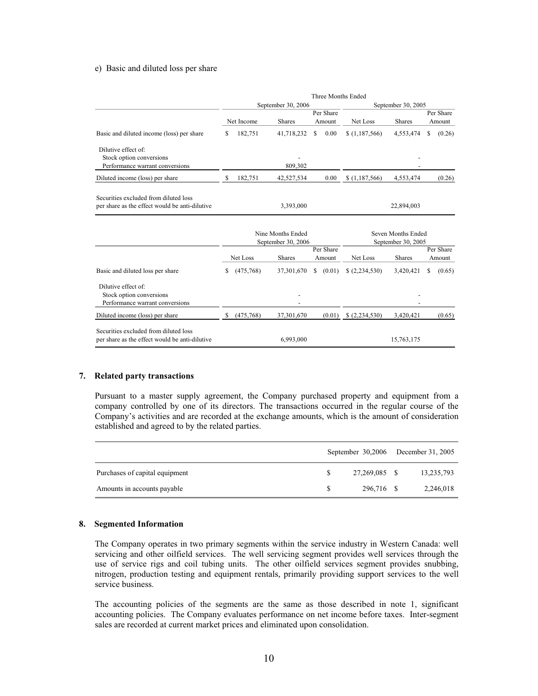#### e) Basic and diluted loss per share

|                                                                                         | Three Months Ended                               |            |               |                                          |               |                     |                    |                     |  |
|-----------------------------------------------------------------------------------------|--------------------------------------------------|------------|---------------|------------------------------------------|---------------|---------------------|--------------------|---------------------|--|
|                                                                                         | September 30, 2006                               |            |               |                                          |               |                     | September 30, 2005 |                     |  |
|                                                                                         |                                                  | Net Income | <b>Shares</b> | Per Share<br>Amount                      |               | Net Loss            | <b>Shares</b>      | Per Share<br>Amount |  |
| Basic and diluted income (loss) per share                                               | \$                                               | 182,751    | 41,718,232    | \$                                       | 0.00          | \$(1,187,566)       | 4,553,474          | \$<br>(0.26)        |  |
| Dilutive effect of:<br>Stock option conversions<br>Performance warrant conversions      |                                                  |            | 809,302       |                                          |               |                     |                    |                     |  |
| Diluted income (loss) per share                                                         | S                                                | 182.751    | 42,527,534    |                                          | 0.00          | \$(1,187,566)       | 4,553,474          | (0.26)              |  |
| Securities excluded from diluted loss<br>per share as the effect would be anti-dilutive |                                                  |            | 3,393,000     |                                          |               |                     | 22,894,003         |                     |  |
|                                                                                         | Nine Months Ended<br>September 30, 2006          |            |               | Seven Months Ended<br>September 30, 2005 |               |                     |                    |                     |  |
|                                                                                         | Per Share<br>Net Loss<br><b>Shares</b><br>Amount |            |               | Net Loss                                 | <b>Shares</b> | Per Share<br>Amount |                    |                     |  |
| Basic and diluted loss per share                                                        | S                                                | (475,768)  | 37,301,670    | S                                        | (0.01)        | (2,234,530)         | 3,420,421          | \$<br>(0.65)        |  |
| Dilutive effect of:<br>Stock option conversions<br>Performance warrant conversions      |                                                  |            |               |                                          |               |                     |                    |                     |  |
| Diluted income (loss) per share                                                         | \$                                               | (475,768)  | 37,301,670    |                                          | (0.01)        | (2,234,530)         | 3,420,421          | (0.65)              |  |
| Securities excluded from diluted loss<br>per share as the effect would be anti-dilutive |                                                  |            | 6.993.000     |                                          |               |                     | 15,763,175         |                     |  |

#### **7. Related party transactions**

Pursuant to a master supply agreement, the Company purchased property and equipment from a company controlled by one of its directors. The transactions occurred in the regular course of the Company's activities and are recorded at the exchange amounts, which is the amount of consideration established and agreed to by the related parties.

|                                |               | September 30,2006 December 31, 2005 |            |
|--------------------------------|---------------|-------------------------------------|------------|
| Purchases of capital equipment | 27.269.085 \$ |                                     | 13,235,793 |
| Amounts in accounts payable    | 296.716 \$    |                                     | 2,246,018  |

#### **8. Segmented Information**

The Company operates in two primary segments within the service industry in Western Canada: well servicing and other oilfield services. The well servicing segment provides well services through the use of service rigs and coil tubing units. The other oilfield services segment provides snubbing, nitrogen, production testing and equipment rentals, primarily providing support services to the well service business.

The accounting policies of the segments are the same as those described in note 1, significant accounting policies. The Company evaluates performance on net income before taxes. Inter-segment sales are recorded at current market prices and eliminated upon consolidation.